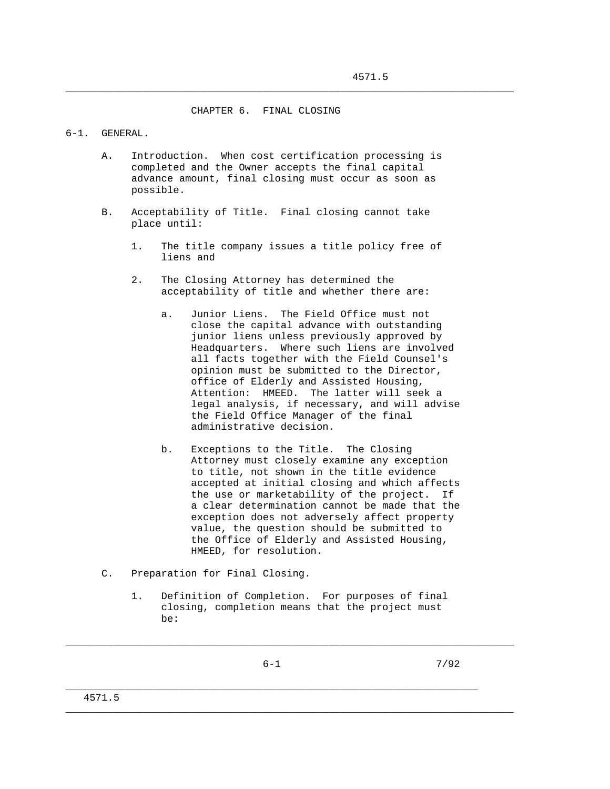CHAPTER 6. FINAL CLOSING

\_\_\_\_\_\_\_\_\_\_\_\_\_\_\_\_\_\_\_\_\_\_\_\_\_\_\_\_\_\_\_\_\_\_\_\_\_\_\_\_\_\_\_\_\_\_\_\_\_\_\_\_\_\_\_\_\_\_\_\_\_\_\_\_\_\_\_\_\_\_\_\_\_\_\_

## 6-1. GENERAL.

- A. Introduction. When cost certification processing is completed and the Owner accepts the final capital advance amount, final closing must occur as soon as possible.
- B. Acceptability of Title. Final closing cannot take place until:
	- 1. The title company issues a title policy free of liens and
	- 2. The Closing Attorney has determined the acceptability of title and whether there are:
		- a. Junior Liens. The Field Office must not close the capital advance with outstanding junior liens unless previously approved by Headquarters. Where such liens are involved all facts together with the Field Counsel's opinion must be submitted to the Director, office of Elderly and Assisted Housing, Attention: HMEED. The latter will seek a legal analysis, if necessary, and will advise the Field Office Manager of the final administrative decision.
		- b. Exceptions to the Title. The Closing Attorney must closely examine any exception to title, not shown in the title evidence accepted at initial closing and which affects the use or marketability of the project. If a clear determination cannot be made that the exception does not adversely affect property value, the question should be submitted to the Office of Elderly and Assisted Housing, HMEED, for resolution.
- C. Preparation for Final Closing.
	- 1. Definition of Completion. For purposes of final closing, completion means that the project must be:

\_\_\_\_\_\_\_\_\_\_\_\_\_\_\_\_\_\_\_\_\_\_\_\_\_\_\_\_\_\_\_\_\_\_\_\_\_\_\_\_\_\_\_\_\_\_\_\_\_\_\_\_\_\_\_\_\_\_\_\_\_\_\_\_\_\_\_\_\_\_\_\_\_\_\_

\_\_\_\_\_\_\_\_\_\_\_\_\_\_\_\_\_\_\_\_\_\_\_\_\_\_\_\_\_\_\_\_\_\_\_\_\_\_\_\_\_\_\_\_\_\_\_\_\_\_\_\_\_\_\_\_\_\_\_\_\_\_\_\_\_\_\_\_\_\_\_\_\_\_\_

\_\_\_\_\_\_\_\_\_\_\_\_\_\_\_\_\_\_\_\_\_\_\_\_\_\_\_\_\_\_\_\_\_\_\_\_\_\_\_\_\_\_\_\_\_\_\_\_\_\_\_\_\_\_\_\_\_\_\_\_\_\_\_\_\_\_\_\_\_

 $6-1$  7/92

4571.5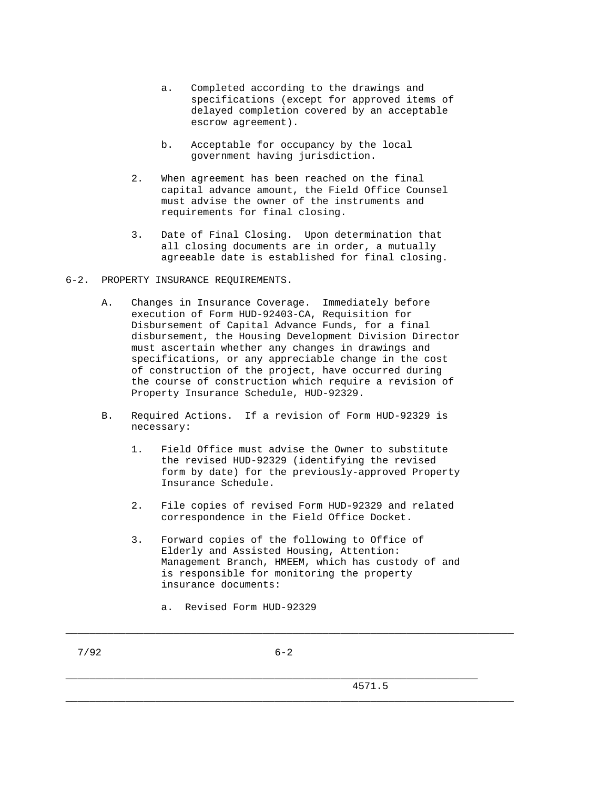- a. Completed according to the drawings and specifications (except for approved items of delayed completion covered by an acceptable escrow agreement).
- b. Acceptable for occupancy by the local government having jurisdiction.
- 2. When agreement has been reached on the final capital advance amount, the Field Office Counsel must advise the owner of the instruments and requirements for final closing.
- 3. Date of Final Closing. Upon determination that all closing documents are in order, a mutually agreeable date is established for final closing.
- 6-2. PROPERTY INSURANCE REQUIREMENTS.
	- A. Changes in Insurance Coverage. Immediately before execution of Form HUD-92403-CA, Requisition for Disbursement of Capital Advance Funds, for a final disbursement, the Housing Development Division Director must ascertain whether any changes in drawings and specifications, or any appreciable change in the cost of construction of the project, have occurred during the course of construction which require a revision of Property Insurance Schedule, HUD-92329.
	- B. Required Actions. If a revision of Form HUD-92329 is necessary:
		- 1. Field Office must advise the Owner to substitute the revised HUD-92329 (identifying the revised form by date) for the previously-approved Property Insurance Schedule.
		- 2. File copies of revised Form HUD-92329 and related correspondence in the Field Office Docket.
		- 3. Forward copies of the following to Office of Elderly and Assisted Housing, Attention: Management Branch, HMEEM, which has custody of and is responsible for monitoring the property insurance documents:
			- a. Revised Form HUD-92329

\_\_\_\_\_\_\_\_\_\_\_\_\_\_\_\_\_\_\_\_\_\_\_\_\_\_\_\_\_\_\_\_\_\_\_\_\_\_\_\_\_\_\_\_\_\_\_\_\_\_\_\_\_\_\_\_\_\_\_\_\_\_\_\_\_\_\_\_\_\_\_\_\_\_\_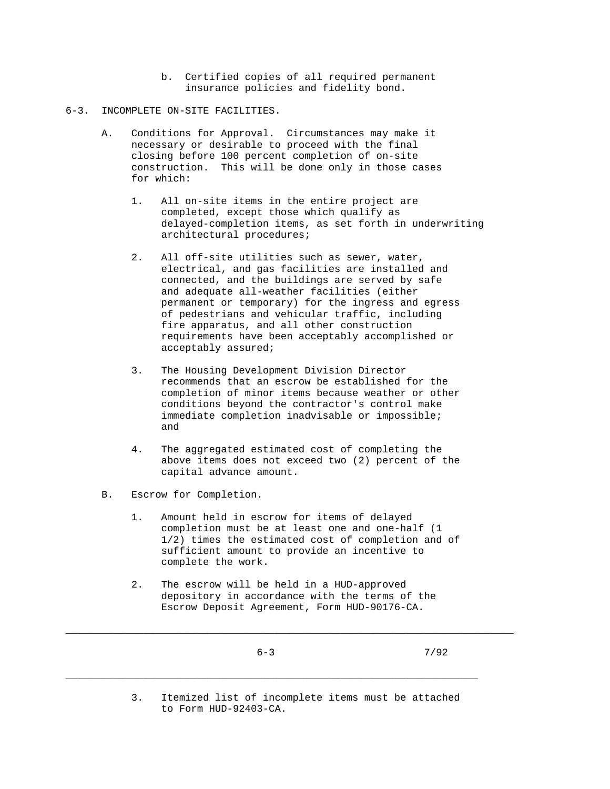b. Certified copies of all required permanent insurance policies and fidelity bond.

## 6-3. INCOMPLETE ON-SITE FACILITIES.

- A. Conditions for Approval. Circumstances may make it necessary or desirable to proceed with the final closing before 100 percent completion of on-site construction. This will be done only in those cases for which:
	- 1. All on-site items in the entire project are completed, except those which qualify as delayed-completion items, as set forth in underwriting architectural procedures;
	- 2. All off-site utilities such as sewer, water, electrical, and gas facilities are installed and connected, and the buildings are served by safe and adequate all-weather facilities (either permanent or temporary) for the ingress and egress of pedestrians and vehicular traffic, including fire apparatus, and all other construction requirements have been acceptably accomplished or acceptably assured;
	- 3. The Housing Development Division Director recommends that an escrow be established for the completion of minor items because weather or other conditions beyond the contractor's control make immediate completion inadvisable or impossible; and
	- 4. The aggregated estimated cost of completing the above items does not exceed two (2) percent of the capital advance amount.
- B. Escrow for Completion.
	- 1. Amount held in escrow for items of delayed completion must be at least one and one-half (1 1/2) times the estimated cost of completion and of sufficient amount to provide an incentive to complete the work.
	- 2. The escrow will be held in a HUD-approved depository in accordance with the terms of the Escrow Deposit Agreement, Form HUD-90176-CA.

\_\_\_\_\_\_\_\_\_\_\_\_\_\_\_\_\_\_\_\_\_\_\_\_\_\_\_\_\_\_\_\_\_\_\_\_\_\_\_\_\_\_\_\_\_\_\_\_\_\_\_\_\_\_\_\_\_\_\_\_\_\_\_\_\_\_\_\_\_\_\_\_\_\_\_

\_\_\_\_\_\_\_\_\_\_\_\_\_\_\_\_\_\_\_\_\_\_\_\_\_\_\_\_\_\_\_\_\_\_\_\_\_\_\_\_\_\_\_\_\_\_\_\_\_\_\_\_\_\_\_\_\_\_\_\_\_\_\_\_\_\_\_\_\_

 3. Itemized list of incomplete items must be attached to Form HUD-92403-CA.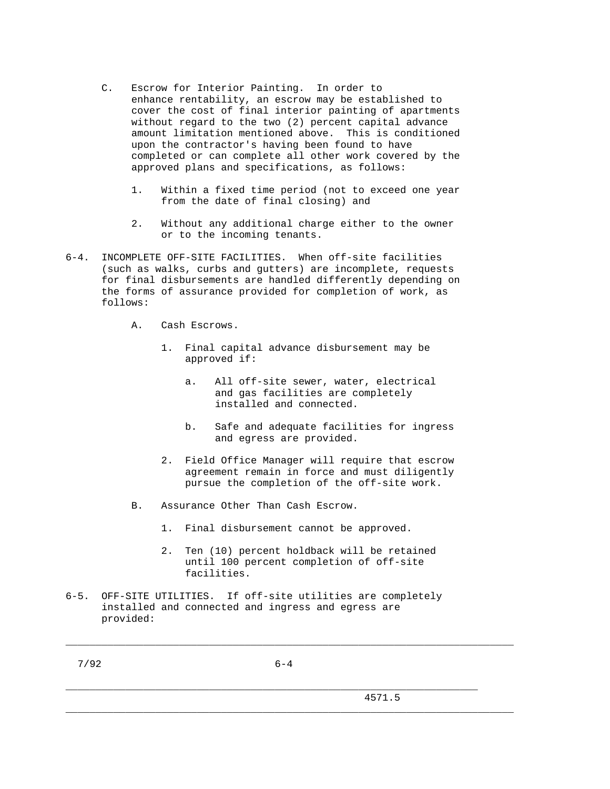- C. Escrow for Interior Painting. In order to enhance rentability, an escrow may be established to cover the cost of final interior painting of apartments without regard to the two (2) percent capital advance amount limitation mentioned above. This is conditioned upon the contractor's having been found to have completed or can complete all other work covered by the approved plans and specifications, as follows:
	- 1. Within a fixed time period (not to exceed one year from the date of final closing) and
	- 2. Without any additional charge either to the owner or to the incoming tenants.
- 6-4. INCOMPLETE OFF-SITE FACILITIES. When off-site facilities (such as walks, curbs and gutters) are incomplete, requests for final disbursements are handled differently depending on the forms of assurance provided for completion of work, as follows:
	- A. Cash Escrows.
		- 1. Final capital advance disbursement may be approved if:
			- a. All off-site sewer, water, electrical and gas facilities are completely installed and connected.
			- b. Safe and adequate facilities for ingress and egress are provided.
		- 2. Field Office Manager will require that escrow agreement remain in force and must diligently pursue the completion of the off-site work.
	- B. Assurance Other Than Cash Escrow.
		- 1. Final disbursement cannot be approved.
		- 2. Ten (10) percent holdback will be retained until 100 percent completion of off-site facilities.
- 6-5. OFF-SITE UTILITIES. If off-site utilities are completely installed and connected and ingress and egress are provided:

7/92 6-4

\_\_\_\_\_\_\_\_\_\_\_\_\_\_\_\_\_\_\_\_\_\_\_\_\_\_\_\_\_\_\_\_\_\_\_\_\_\_\_\_\_\_\_\_\_\_\_\_\_\_\_\_\_\_\_\_\_\_\_\_\_\_\_\_\_\_\_\_\_

\_\_\_\_\_\_\_\_\_\_\_\_\_\_\_\_\_\_\_\_\_\_\_\_\_\_\_\_\_\_\_\_\_\_\_\_\_\_\_\_\_\_\_\_\_\_\_\_\_\_\_\_\_\_\_\_\_\_\_\_\_\_\_\_\_\_\_\_\_\_\_\_\_\_\_

\_\_\_\_\_\_\_\_\_\_\_\_\_\_\_\_\_\_\_\_\_\_\_\_\_\_\_\_\_\_\_\_\_\_\_\_\_\_\_\_\_\_\_\_\_\_\_\_\_\_\_\_\_\_\_\_\_\_\_\_\_\_\_\_\_\_\_\_\_\_\_\_\_\_\_

4571.5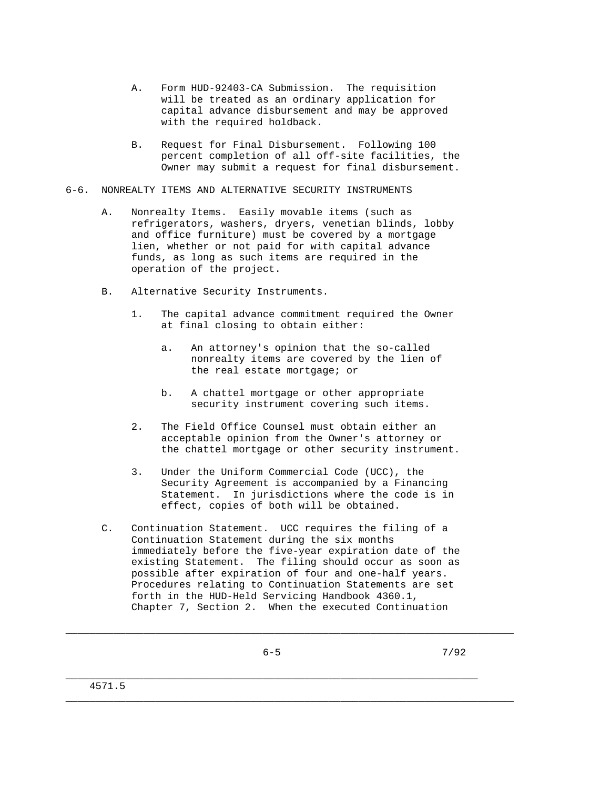- A. Form HUD-92403-CA Submission. The requisition will be treated as an ordinary application for capital advance disbursement and may be approved with the required holdback.
- B. Request for Final Disbursement. Following 100 percent completion of all off-site facilities, the Owner may submit a request for final disbursement.
- 6-6. NONREALTY ITEMS AND ALTERNATIVE SECURITY INSTRUMENTS
	- A. Nonrealty Items. Easily movable items (such as refrigerators, washers, dryers, venetian blinds, lobby and office furniture) must be covered by a mortgage lien, whether or not paid for with capital advance funds, as long as such items are required in the operation of the project.
	- B. Alternative Security Instruments.
		- 1. The capital advance commitment required the Owner at final closing to obtain either:
			- a. An attorney's opinion that the so-called nonrealty items are covered by the lien of the real estate mortgage; or
			- b. A chattel mortgage or other appropriate security instrument covering such items.
		- 2. The Field Office Counsel must obtain either an acceptable opinion from the Owner's attorney or the chattel mortgage or other security instrument.
		- 3. Under the Uniform Commercial Code (UCC), the Security Agreement is accompanied by a Financing Statement. In jurisdictions where the code is in effect, copies of both will be obtained.
	- C. Continuation Statement. UCC requires the filing of a Continuation Statement during the six months immediately before the five-year expiration date of the existing Statement. The filing should occur as soon as possible after expiration of four and one-half years. Procedures relating to Continuation Statements are set forth in the HUD-Held Servicing Handbook 4360.1, Chapter 7, Section 2. When the executed Continuation

\_\_\_\_\_\_\_\_\_\_\_\_\_\_\_\_\_\_\_\_\_\_\_\_\_\_\_\_\_\_\_\_\_\_\_\_\_\_\_\_\_\_\_\_\_\_\_\_\_\_\_\_\_\_\_\_\_\_\_\_\_\_\_\_\_\_\_\_\_\_\_\_\_\_\_

 $6-5$  7/92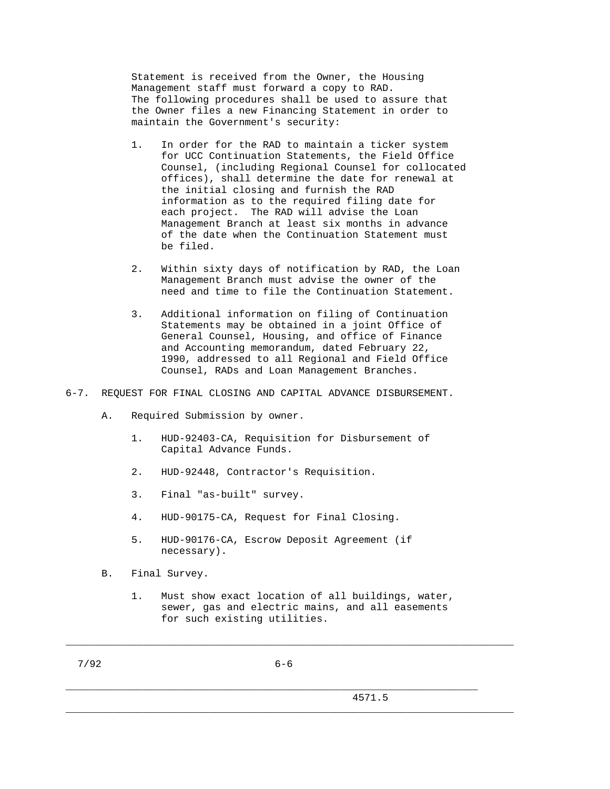Statement is received from the Owner, the Housing Management staff must forward a copy to RAD. The following procedures shall be used to assure that the Owner files a new Financing Statement in order to maintain the Government's security:

- 1. In order for the RAD to maintain a ticker system for UCC Continuation Statements, the Field Office Counsel, (including Regional Counsel for collocated offices), shall determine the date for renewal at the initial closing and furnish the RAD information as to the required filing date for each project. The RAD will advise the Loan Management Branch at least six months in advance of the date when the Continuation Statement must be filed.
- 2. Within sixty days of notification by RAD, the Loan Management Branch must advise the owner of the need and time to file the Continuation Statement.
- 3. Additional information on filing of Continuation Statements may be obtained in a joint Office of General Counsel, Housing, and office of Finance and Accounting memorandum, dated February 22, 1990, addressed to all Regional and Field Office Counsel, RADs and Loan Management Branches.
- 6-7. REQUEST FOR FINAL CLOSING AND CAPITAL ADVANCE DISBURSEMENT.
	- A. Required Submission by owner.
		- 1. HUD-92403-CA, Requisition for Disbursement of Capital Advance Funds.
		- 2. HUD-92448, Contractor's Requisition.
		- 3. Final "as-built" survey.
		- 4. HUD-90175-CA, Request for Final Closing.
		- 5. HUD-90176-CA, Escrow Deposit Agreement (if necessary).
	- B. Final Survey.
		- 1. Must show exact location of all buildings, water, sewer, gas and electric mains, and all easements for such existing utilities.

\_\_\_\_\_\_\_\_\_\_\_\_\_\_\_\_\_\_\_\_\_\_\_\_\_\_\_\_\_\_\_\_\_\_\_\_\_\_\_\_\_\_\_\_\_\_\_\_\_\_\_\_\_\_\_\_\_\_\_\_\_\_\_\_\_\_\_\_\_\_\_\_\_\_\_

\_\_\_\_\_\_\_\_\_\_\_\_\_\_\_\_\_\_\_\_\_\_\_\_\_\_\_\_\_\_\_\_\_\_\_\_\_\_\_\_\_\_\_\_\_\_\_\_\_\_\_\_\_\_\_\_\_\_\_\_\_\_\_\_\_\_\_\_\_\_\_\_\_\_\_

7/92 6-6

\_\_\_\_\_\_\_\_\_\_\_\_\_\_\_\_\_\_\_\_\_\_\_\_\_\_\_\_\_\_\_\_\_\_\_\_\_\_\_\_\_\_\_\_\_\_\_\_\_\_\_\_\_\_\_\_\_\_\_\_\_\_\_\_\_\_\_\_\_

4571.5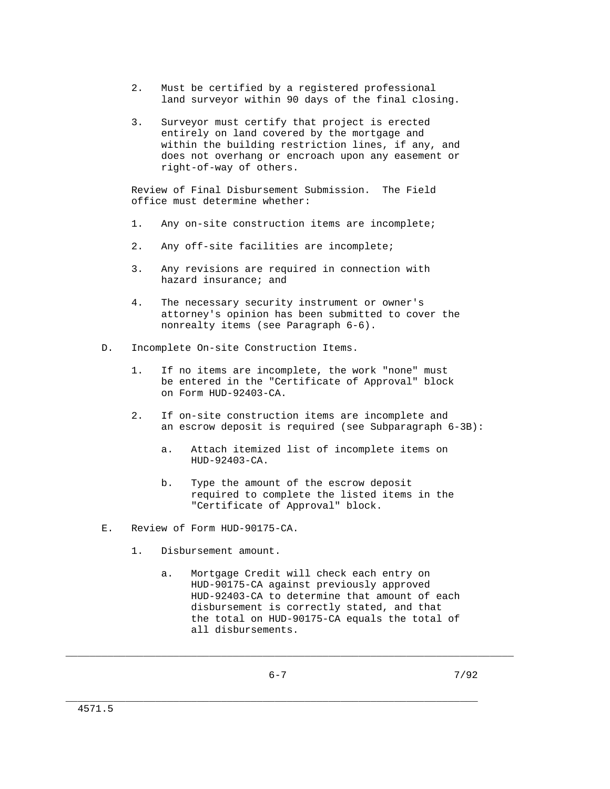- 2. Must be certified by a registered professional land surveyor within 90 days of the final closing.
- 3. Surveyor must certify that project is erected entirely on land covered by the mortgage and within the building restriction lines, if any, and does not overhang or encroach upon any easement or right-of-way of others.

 Review of Final Disbursement Submission. The Field office must determine whether:

- 1. Any on-site construction items are incomplete;
- 2. Any off-site facilities are incomplete;
- 3. Any revisions are required in connection with hazard insurance; and
- 4. The necessary security instrument or owner's attorney's opinion has been submitted to cover the nonrealty items (see Paragraph 6-6).
- D. Incomplete On-site Construction Items.
	- 1. If no items are incomplete, the work "none" must be entered in the "Certificate of Approval" block on Form HUD-92403-CA.
	- 2. If on-site construction items are incomplete and an escrow deposit is required (see Subparagraph 6-3B):
		- a. Attach itemized list of incomplete items on HUD-92403-CA.
		- b. Type the amount of the escrow deposit required to complete the listed items in the "Certificate of Approval" block.
- E. Review of Form HUD-90175-CA.
	- 1. Disbursement amount.
		- a. Mortgage Credit will check each entry on HUD-90175-CA against previously approved HUD-92403-CA to determine that amount of each disbursement is correctly stated, and that the total on HUD-90175-CA equals the total of all disbursements.

\_\_\_\_\_\_\_\_\_\_\_\_\_\_\_\_\_\_\_\_\_\_\_\_\_\_\_\_\_\_\_\_\_\_\_\_\_\_\_\_\_\_\_\_\_\_\_\_\_\_\_\_\_\_\_\_\_\_\_\_\_\_\_\_\_\_\_\_\_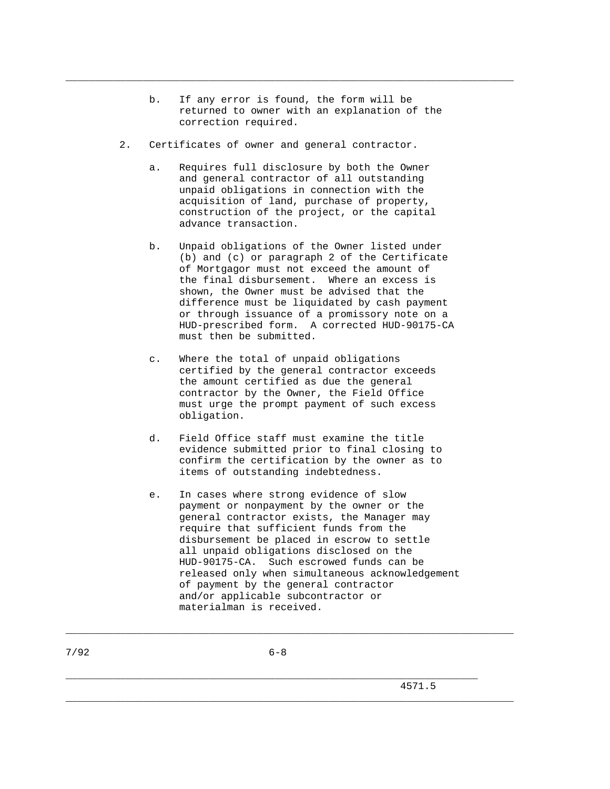b. If any error is found, the form will be returned to owner with an explanation of the correction required.

\_\_\_\_\_\_\_\_\_\_\_\_\_\_\_\_\_\_\_\_\_\_\_\_\_\_\_\_\_\_\_\_\_\_\_\_\_\_\_\_\_\_\_\_\_\_\_\_\_\_\_\_\_\_\_\_\_\_\_\_\_\_\_\_\_\_\_\_\_\_\_\_\_\_\_

- 2. Certificates of owner and general contractor.
	- a. Requires full disclosure by both the Owner and general contractor of all outstanding unpaid obligations in connection with the acquisition of land, purchase of property, construction of the project, or the capital advance transaction.
	- b. Unpaid obligations of the Owner listed under (b) and (c) or paragraph 2 of the Certificate of Mortgagor must not exceed the amount of the final disbursement. Where an excess is shown, the Owner must be advised that the difference must be liquidated by cash payment or through issuance of a promissory note on a HUD-prescribed form. A corrected HUD-90175-CA must then be submitted.
	- c. Where the total of unpaid obligations certified by the general contractor exceeds the amount certified as due the general contractor by the Owner, the Field Office must urge the prompt payment of such excess obligation.
	- d. Field Office staff must examine the title evidence submitted prior to final closing to confirm the certification by the owner as to items of outstanding indebtedness.
	- e. In cases where strong evidence of slow payment or nonpayment by the owner or the general contractor exists, the Manager may require that sufficient funds from the disbursement be placed in escrow to settle all unpaid obligations disclosed on the HUD-90175-CA. Such escrowed funds can be released only when simultaneous acknowledgement of payment by the general contractor and/or applicable subcontractor or materialman is received.

\_\_\_\_\_\_\_\_\_\_\_\_\_\_\_\_\_\_\_\_\_\_\_\_\_\_\_\_\_\_\_\_\_\_\_\_\_\_\_\_\_\_\_\_\_\_\_\_\_\_\_\_\_\_\_\_\_\_\_\_\_\_\_\_\_\_\_\_\_

\_\_\_\_\_\_\_\_\_\_\_\_\_\_\_\_\_\_\_\_\_\_\_\_\_\_\_\_\_\_\_\_\_\_\_\_\_\_\_\_\_\_\_\_\_\_\_\_\_\_\_\_\_\_\_\_\_\_\_\_\_\_\_\_\_\_\_\_\_\_\_\_\_\_\_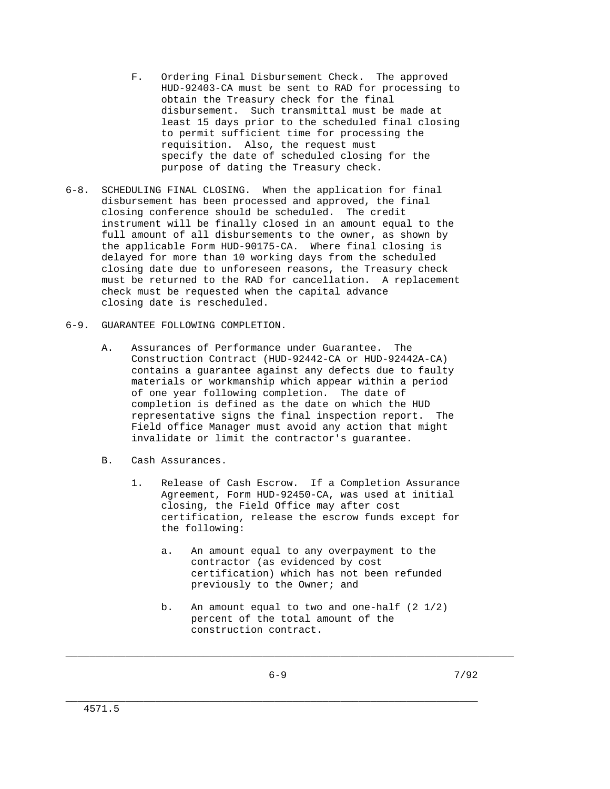- F. Ordering Final Disbursement Check. The approved HUD-92403-CA must be sent to RAD for processing to obtain the Treasury check for the final disbursement. Such transmittal must be made at least 15 days prior to the scheduled final closing to permit sufficient time for processing the requisition. Also, the request must specify the date of scheduled closing for the purpose of dating the Treasury check.
- 6-8. SCHEDULING FINAL CLOSING. When the application for final disbursement has been processed and approved, the final closing conference should be scheduled. The credit instrument will be finally closed in an amount equal to the full amount of all disbursements to the owner, as shown by the applicable Form HUD-90175-CA. Where final closing is delayed for more than 10 working days from the scheduled closing date due to unforeseen reasons, the Treasury check must be returned to the RAD for cancellation. A replacement check must be requested when the capital advance closing date is rescheduled.
- 6-9. GUARANTEE FOLLOWING COMPLETION.
	- A. Assurances of Performance under Guarantee. The Construction Contract (HUD-92442-CA or HUD-92442A-CA) contains a guarantee against any defects due to faulty materials or workmanship which appear within a period of one year following completion. The date of completion is defined as the date on which the HUD representative signs the final inspection report. The Field office Manager must avoid any action that might invalidate or limit the contractor's guarantee.
	- B. Cash Assurances.
		- 1. Release of Cash Escrow. If a Completion Assurance Agreement, Form HUD-92450-CA, was used at initial closing, the Field Office may after cost certification, release the escrow funds except for the following:
			- a. An amount equal to any overpayment to the contractor (as evidenced by cost certification) which has not been refunded previously to the Owner; and
			- b. An amount equal to two and one-half  $(2 \t1/2)$  percent of the total amount of the construction contract.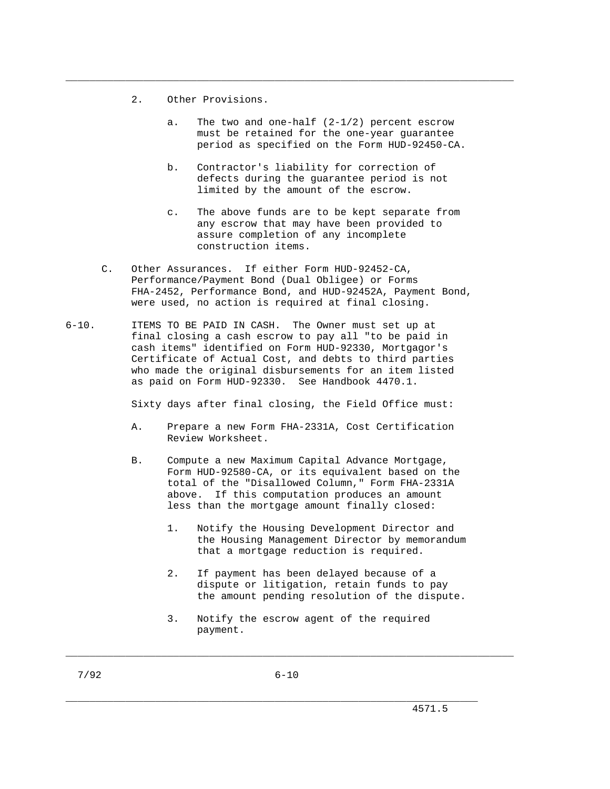- 2. Other Provisions.
	- a. The two and one-half (2-1/2) percent escrow must be retained for the one-year guarantee period as specified on the Form HUD-92450-CA.

- b. Contractor's liability for correction of defects during the guarantee period is not limited by the amount of the escrow.
- c. The above funds are to be kept separate from any escrow that may have been provided to assure completion of any incomplete construction items.
- C. Other Assurances. If either Form HUD-92452-CA, Performance/Payment Bond (Dual Obligee) or Forms FHA-2452, Performance Bond, and HUD-92452A, Payment Bond, were used, no action is required at final closing.
- 6-10. ITEMS TO BE PAID IN CASH. The Owner must set up at final closing a cash escrow to pay all "to be paid in cash items" identified on Form HUD-92330, Mortgagor's Certificate of Actual Cost, and debts to third parties who made the original disbursements for an item listed as paid on Form HUD-92330. See Handbook 4470.1.

Sixty days after final closing, the Field Office must:

- A. Prepare a new Form FHA-2331A, Cost Certification Review Worksheet.
- B. Compute a new Maximum Capital Advance Mortgage, Form HUD-92580-CA, or its equivalent based on the total of the "Disallowed Column," Form FHA-2331A above. If this computation produces an amount less than the mortgage amount finally closed:
	- 1. Notify the Housing Development Director and the Housing Management Director by memorandum that a mortgage reduction is required.
	- 2. If payment has been delayed because of a dispute or litigation, retain funds to pay the amount pending resolution of the dispute.
	- 3. Notify the escrow agent of the required payment.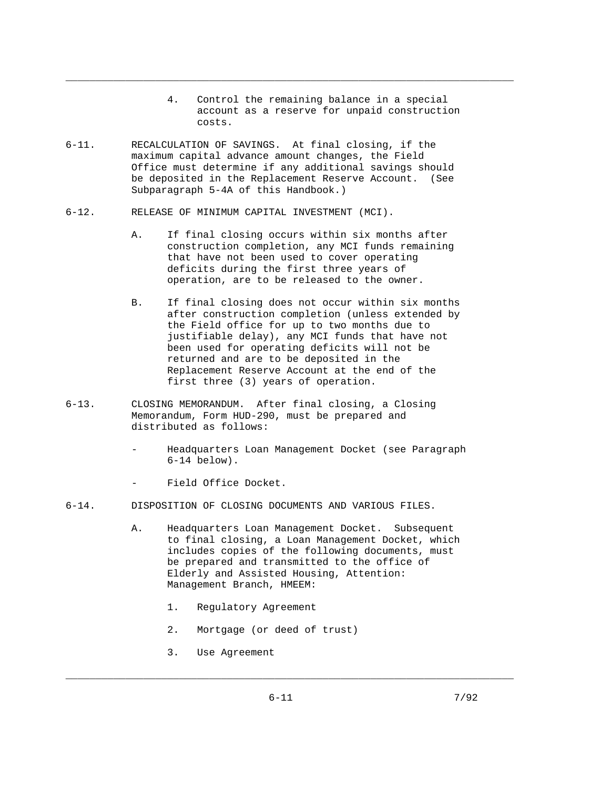4. Control the remaining balance in a special account as a reserve for unpaid construction costs.

\_\_\_\_\_\_\_\_\_\_\_\_\_\_\_\_\_\_\_\_\_\_\_\_\_\_\_\_\_\_\_\_\_\_\_\_\_\_\_\_\_\_\_\_\_\_\_\_\_\_\_\_\_\_\_\_\_\_\_\_\_\_\_\_\_\_\_\_\_\_\_\_\_\_\_

- 6-11. RECALCULATION OF SAVINGS. At final closing, if the maximum capital advance amount changes, the Field Office must determine if any additional savings should be deposited in the Replacement Reserve Account. (See Subparagraph 5-4A of this Handbook.)
- 6-12. RELEASE OF MINIMUM CAPITAL INVESTMENT (MCI).
	- A. If final closing occurs within six months after construction completion, any MCI funds remaining that have not been used to cover operating deficits during the first three years of operation, are to be released to the owner.
	- B. If final closing does not occur within six months after construction completion (unless extended by the Field office for up to two months due to justifiable delay), any MCI funds that have not been used for operating deficits will not be returned and are to be deposited in the Replacement Reserve Account at the end of the first three (3) years of operation.
- 6-13. CLOSING MEMORANDUM. After final closing, a Closing Memorandum, Form HUD-290, must be prepared and distributed as follows:
	- Headquarters Loan Management Docket (see Paragraph 6-14 below).
	- Field Office Docket.
- 6-14. DISPOSITION OF CLOSING DOCUMENTS AND VARIOUS FILES.
	- A. Headquarters Loan Management Docket. Subsequent to final closing, a Loan Management Docket, which includes copies of the following documents, must be prepared and transmitted to the office of Elderly and Assisted Housing, Attention: Management Branch, HMEEM:
		- 1. Regulatory Agreement
		- 2. Mortgage (or deed of trust)
		- 3. Use Agreement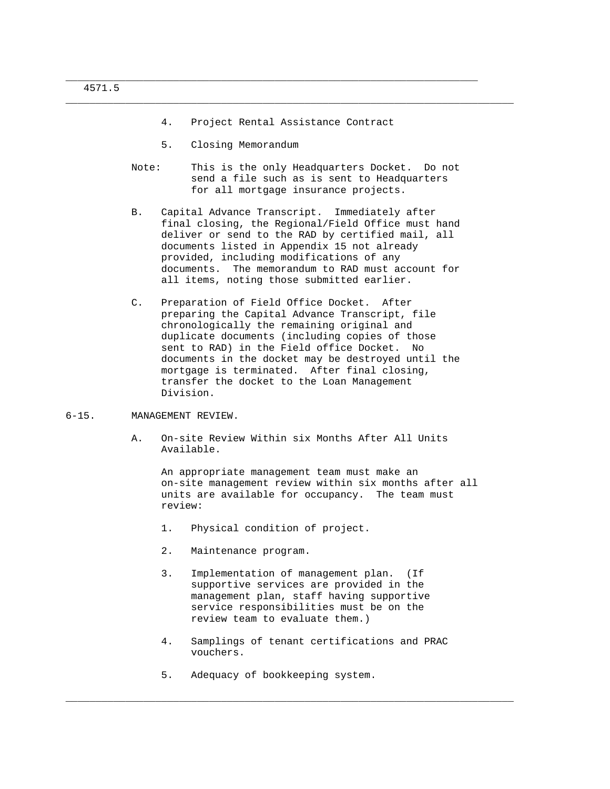4. Project Rental Assistance Contract

\_\_\_\_\_\_\_\_\_\_\_\_\_\_\_\_\_\_\_\_\_\_\_\_\_\_\_\_\_\_\_\_\_\_\_\_\_\_\_\_\_\_\_\_\_\_\_\_\_\_\_\_\_\_\_\_\_\_\_\_\_\_\_\_\_\_\_\_\_\_\_\_\_\_\_

\_\_\_\_\_\_\_\_\_\_\_\_\_\_\_\_\_\_\_\_\_\_\_\_\_\_\_\_\_\_\_\_\_\_\_\_\_\_\_\_\_\_\_\_\_\_\_\_\_\_\_\_\_\_\_\_\_\_\_\_\_\_\_\_\_\_\_\_\_

- 5. Closing Memorandum
- Note: This is the only Headquarters Docket. Do not send a file such as is sent to Headquarters for all mortgage insurance projects.
- B. Capital Advance Transcript. Immediately after final closing, the Regional/Field Office must hand deliver or send to the RAD by certified mail, all documents listed in Appendix 15 not already provided, including modifications of any documents. The memorandum to RAD must account for all items, noting those submitted earlier.
- C. Preparation of Field Office Docket. After preparing the Capital Advance Transcript, file chronologically the remaining original and duplicate documents (including copies of those sent to RAD) in the Field office Docket. No documents in the docket may be destroyed until the mortgage is terminated. After final closing, transfer the docket to the Loan Management Division.
- 6-15. MANAGEMENT REVIEW.
	- A. On-site Review Within six Months After All Units Available.

 An appropriate management team must make an on-site management review within six months after all units are available for occupancy. The team must review:

- 1. Physical condition of project.
- 2. Maintenance program.
- 3. Implementation of management plan. (If supportive services are provided in the management plan, staff having supportive service responsibilities must be on the review team to evaluate them.)
- 4. Samplings of tenant certifications and PRAC vouchers.

\_\_\_\_\_\_\_\_\_\_\_\_\_\_\_\_\_\_\_\_\_\_\_\_\_\_\_\_\_\_\_\_\_\_\_\_\_\_\_\_\_\_\_\_\_\_\_\_\_\_\_\_\_\_\_\_\_\_\_\_\_\_\_\_\_\_\_\_\_\_\_\_\_\_\_

5. Adequacy of bookkeeping system.